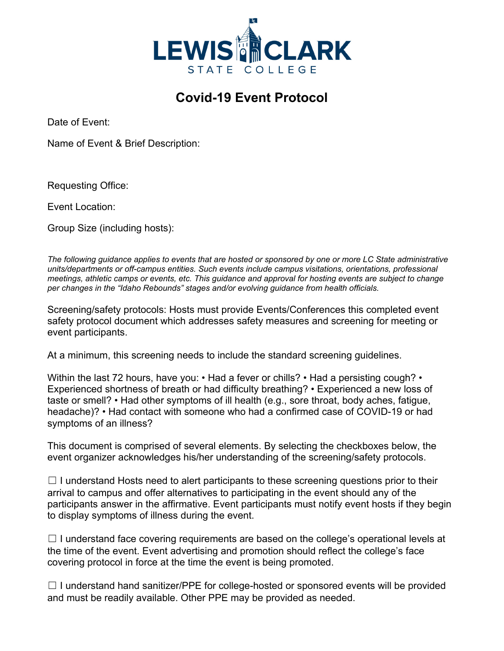

## **Covid-19 Event Protocol**

Date of Event:

Name of Event & Brief Description:

Requesting Office:

Event Location:

Group Size (including hosts):

*The following guidance applies to events that are hosted or sponsored by one or more LC State administrative units/departments or off-campus entities. Such events include campus visitations, orientations, professional meetings, athletic camps or events, etc. This guidance and approval for hosting events are subject to change per changes in the "Idaho Rebounds" stages and/or evolving guidance from health officials.* 

Screening/safety protocols: Hosts must provide Events/Conferences this completed event safety protocol document which addresses safety measures and screening for meeting or event participants.

At a minimum, this screening needs to include the standard screening guidelines.

Within the last 72 hours, have you: • Had a fever or chills? • Had a persisting cough? • Experienced shortness of breath or had difficulty breathing? • Experienced a new loss of taste or smell? • Had other symptoms of ill health (e.g., sore throat, body aches, fatigue, headache)? • Had contact with someone who had a confirmed case of COVID-19 or had symptoms of an illness?

This document is comprised of several elements. By selecting the checkboxes below, the event organizer acknowledges his/her understanding of the screening/safety protocols.

 $\Box$  I understand Hosts need to alert participants to these screening questions prior to their arrival to campus and offer alternatives to participating in the event should any of the participants answer in the affirmative. Event participants must notify event hosts if they begin to display symptoms of illness during the event.

 $\Box$  I understand face covering requirements are based on the college's operational levels at the time of the event. Event advertising and promotion should reflect the college's face covering protocol in force at the time the event is being promoted.

 $\Box$  I understand hand sanitizer/PPE for college-hosted or sponsored events will be provided and must be readily available. Other PPE may be provided as needed.